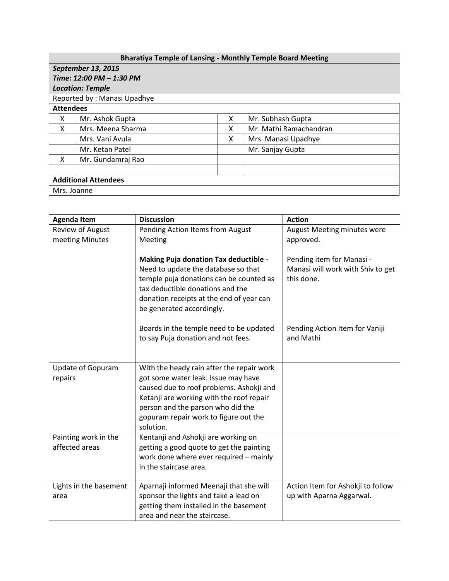| <b>Bharatiya Temple of Lansing - Monthly Temple Board Meeting</b> |                   |   |                        |  |  |  |
|-------------------------------------------------------------------|-------------------|---|------------------------|--|--|--|
| September 13, 2015                                                |                   |   |                        |  |  |  |
| Time: 12:00 PM - 1:30 PM                                          |                   |   |                        |  |  |  |
| <b>Location: Temple</b>                                           |                   |   |                        |  |  |  |
| Reported by: Manasi Upadhye                                       |                   |   |                        |  |  |  |
| <b>Attendees</b>                                                  |                   |   |                        |  |  |  |
| x                                                                 | Mr. Ashok Gupta   | x | Mr. Subhash Gupta      |  |  |  |
| X                                                                 | Mrs. Meena Sharma | x | Mr. Mathi Ramachandran |  |  |  |
|                                                                   | Mrs. Vani Avula   | X | Mrs. Manasi Upadhye    |  |  |  |
|                                                                   | Mr. Ketan Patel   |   | Mr. Sanjay Gupta       |  |  |  |
| X                                                                 | Mr. Gundamraj Rao |   |                        |  |  |  |
|                                                                   |                   |   |                        |  |  |  |
| <b>Additional Attendees</b>                                       |                   |   |                        |  |  |  |
| Mrs. Joanne                                                       |                   |   |                        |  |  |  |

| <b>Agenda Item</b>                     | <b>Discussion</b>                                                                                                                                                                                                                                                   | <b>Action</b>                                                                |
|----------------------------------------|---------------------------------------------------------------------------------------------------------------------------------------------------------------------------------------------------------------------------------------------------------------------|------------------------------------------------------------------------------|
| <b>Review of August</b>                | Pending Action Items from August                                                                                                                                                                                                                                    | August Meeting minutes were                                                  |
| meeting Minutes                        | Meeting                                                                                                                                                                                                                                                             | approved.                                                                    |
|                                        | <b>Making Puja donation Tax deductible -</b><br>Need to update the database so that<br>temple puja donations can be counted as<br>tax deductible donations and the<br>donation receipts at the end of year can<br>be generated accordingly.                         | Pending item for Manasi -<br>Manasi will work with Shiv to get<br>this done. |
|                                        | Boards in the temple need to be updated<br>to say Puja donation and not fees.                                                                                                                                                                                       | Pending Action Item for Vaniji<br>and Mathi                                  |
| Update of Gopuram<br>repairs           | With the heady rain after the repair work<br>got some water leak. Issue may have<br>caused due to roof problems. Ashokji and<br>Ketanji are working with the roof repair<br>person and the parson who did the<br>gopuram repair work to figure out the<br>solution. |                                                                              |
| Painting work in the<br>affected areas | Kentanji and Ashokji are working on<br>getting a good quote to get the painting<br>work done where ever required - mainly<br>in the staircase area.                                                                                                                 |                                                                              |
| Lights in the basement<br>area         | Aparnaji informed Meenaji that she will<br>sponsor the lights and take a lead on<br>getting them installed in the basement<br>area and near the staircase.                                                                                                          | Action Item for Ashokji to follow<br>up with Aparna Aggarwal.                |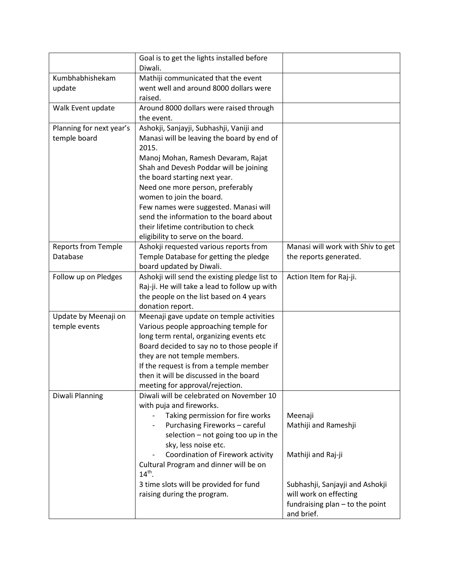|                            | Goal is to get the lights installed before            |                                   |
|----------------------------|-------------------------------------------------------|-----------------------------------|
|                            | Diwali.                                               |                                   |
| Kumbhabhishekam            | Mathiji communicated that the event                   |                                   |
| update                     | went well and around 8000 dollars were                |                                   |
|                            | raised.                                               |                                   |
| Walk Event update          | Around 8000 dollars were raised through               |                                   |
|                            | the event.                                            |                                   |
| Planning for next year's   | Ashokji, Sanjayji, Subhashji, Vaniji and              |                                   |
| temple board               | Manasi will be leaving the board by end of<br>2015.   |                                   |
|                            | Manoj Mohan, Ramesh Devaram, Rajat                    |                                   |
|                            | Shah and Devesh Poddar will be joining                |                                   |
|                            | the board starting next year.                         |                                   |
|                            | Need one more person, preferably                      |                                   |
|                            | women to join the board.                              |                                   |
|                            | Few names were suggested. Manasi will                 |                                   |
|                            | send the information to the board about               |                                   |
|                            | their lifetime contribution to check                  |                                   |
|                            | eligibility to serve on the board.                    |                                   |
| <b>Reports from Temple</b> | Ashokji requested various reports from                | Manasi will work with Shiv to get |
| Database                   | Temple Database for getting the pledge                | the reports generated.            |
|                            | board updated by Diwali.                              |                                   |
| Follow up on Pledges       | Ashokji will send the existing pledge list to         | Action Item for Raj-ji.           |
|                            | Raj-ji. He will take a lead to follow up with         |                                   |
|                            | the people on the list based on 4 years               |                                   |
|                            | donation report.                                      |                                   |
| Update by Meenaji on       | Meenaji gave update on temple activities              |                                   |
| temple events              | Various people approaching temple for                 |                                   |
|                            | long term rental, organizing events etc               |                                   |
|                            | Board decided to say no to those people if            |                                   |
|                            | they are not temple members.                          |                                   |
|                            | If the request is from a temple member                |                                   |
|                            | then it will be discussed in the board                |                                   |
|                            | meeting for approval/rejection.                       |                                   |
| Diwali Planning            | Diwali will be celebrated on November 10              |                                   |
|                            | with puja and fireworks.                              |                                   |
|                            | Taking permission for fire works                      | Meenaji                           |
|                            | Purchasing Fireworks - careful                        | Mathiji and Rameshji              |
|                            | selection - not going too up in the                   |                                   |
|                            | sky, less noise etc.                                  |                                   |
|                            | Coordination of Firework activity                     | Mathiji and Raj-ji                |
|                            | Cultural Program and dinner will be on<br>$14^{th}$ . |                                   |
|                            | 3 time slots will be provided for fund                | Subhashji, Sanjayji and Ashokji   |
|                            | raising during the program.                           | will work on effecting            |
|                            |                                                       | fundraising plan - to the point   |
|                            |                                                       | and brief.                        |